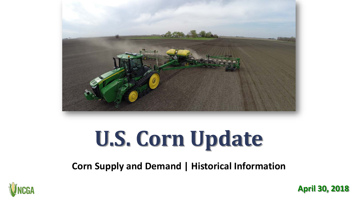

# **U.S. Corn Update**

**Corn Supply and Demand | Historical Information**



**April 30, 2018**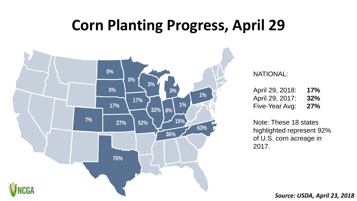# **Corn Planting Progress, April 29**



#### NATIONAL:

| April 29, 2018: | 17% |
|-----------------|-----|
| April 29, 2017: | 32% |
| Five-Year Avg:  | 27% |

Note: These 18 states highlighted represent 92% of U.S. corn acreage in 2017.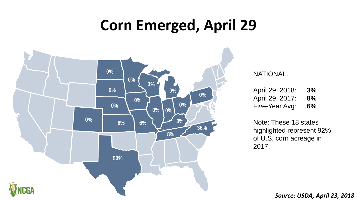# **Corn Emerged, April 29**



#### NATIONAL:

| April 29, 2018: | 3% |
|-----------------|----|
| April 29, 2017: | 8% |
| Five-Year Avg:  | 6% |

Note: These 18 states highlighted represent 92% of U.S. corn acreage in 2017.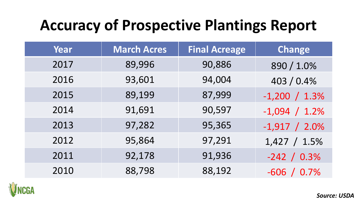# **Accuracy of Prospective Plantings Report**

| Year | <b>March Acres</b> | <b>Final Acreage</b> | <b>Change</b>    |
|------|--------------------|----------------------|------------------|
| 2017 | 89,996             | 90,886               | 890 / 1.0%       |
| 2016 | 93,601             | 94,004               | 403 / 0.4%       |
| 2015 | 89,199             | 87,999               | $-1,200 / 1.3\%$ |
| 2014 | 91,691             | 90,597               | $-1,094 / 1.2\%$ |
| 2013 | 97,282             | 95,365               | $-1,917 / 2.0\%$ |
| 2012 | 95,864             | 97,291               | $1,427 / 1.5\%$  |
| 2011 | 92,178             | 91,936               | $-242 / 0.3\%$   |
| 2010 | 88,798             | 88,192               | $-606 / 0.7\%$   |

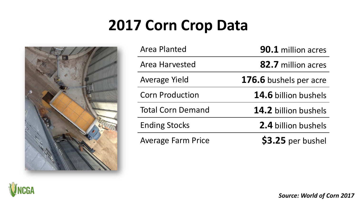# **2017 Corn Crop Data**



| <b>Area Planted</b>       | <b>90.1</b> million acres   |
|---------------------------|-----------------------------|
| <b>Area Harvested</b>     | 82.7 million acres          |
| <b>Average Yield</b>      | 176.6 bushels per acre      |
| <b>Corn Production</b>    | <b>14.6</b> billion bushels |
| <b>Total Corn Demand</b>  | 14.2 billion bushels        |
| <b>Ending Stocks</b>      | 2.4 billion bushels         |
| <b>Average Farm Price</b> | \$3.25 per bushel           |



*Source: World of Corn 2017*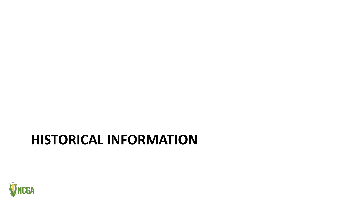### **HISTORICAL INFORMATION**

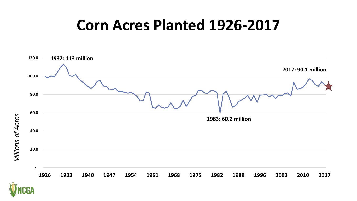### **Corn Acres Planted 1926-2017**





*Millions of Acres*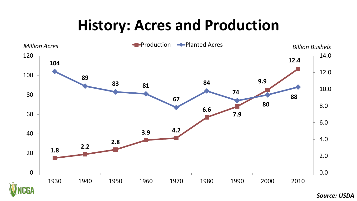# **History: Acres and Production**



*Source: USDA*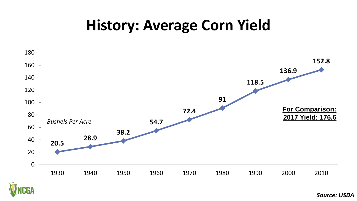# **History: Average Corn Yield**



*Source: USDA*